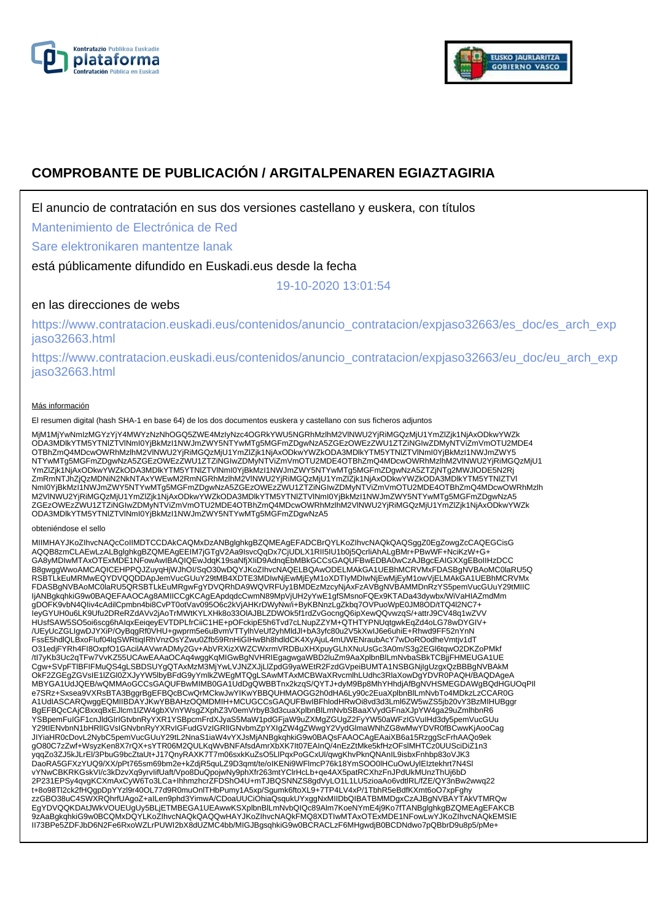



# **COMPROBANTE DE PUBLICACIÓN / ARGITALPENAREN EGIAZTAGIRIA**

El anuncio de contratación en sus dos versiones castellano y euskera, con títulos

Mantenimiento de Electrónica de Red

Sare elektronikaren mantentze lanak

está públicamente difundido en Euskadi.eus desde la fecha

19-10-2020 13:01:54

## en las direcciones de webs

https://www.contratacion.euskadi.eus/contenidos/anuncio\_contratacion/expjaso32663/es\_doc/es\_arch\_exp jaso32663.html

https://www.contratacion.euskadi.eus/contenidos/anuncio\_contratacion/expjaso32663/eu\_doc/eu\_arch\_exp jaso32663.html

#### Más información

El resumen digital (hash SHA-1 en base 64) de los dos documentos euskera y castellano con sus ficheros adjuntos

MjM1MjYwNmIzMGYzYjY4MWYzNzNhOGQ5ZWE4MzIyNzc4OGRkYWU5NGRhMzlhM2VlNWU2YjRiMGQzMjU1YmZlZjk1NjAxODkwYWZk ODA3MDlkYTM5YTNlZTVlNmI0YjBkMzI1NWJmZWY5NTYwMTg5MGFmZDgwNzA5ZGEzOWEzZWU1ZTZiNGIwZDMyNTViZmVmOTU2MDE4 OTBhZmQ4MDcwOWRhMzlhM2VlNWU2YjRiMGQzMjU1YmZlZjk1NjAxODkwYWZkODA3MDlkYTM5YTNlZTVlNml0YjBkMzI1NWJmZWY5<br>NTYwMTg5MGFmZDgwNzA5ZGEzOWEzZWU1ZTZiNGIwZDMyNTViZmVmOTU2MDE4OTBhZmQ4MDcwOWRhMzlhM2VlNWU2YjRiMGQzMjU1 YmZlZjk1NjAxODkwYWZkODA3MDlkYTM5YTNlZTVlNmI0YjBkMzI1NWJmZWY5NTYwMTg5MGFmZDgwNzA5ZTZjNTg2MWJlODE5N2Rj ZmRmNTJhZjQzMDNiN2NkNTAxYWEwM2RmNGRhMzlhM2VlNWU2YjRiMGQzMjU1YmZlZjk1NjAxODkwYWZkODA3MDlkYTM5YTNlZTVl NmI0YjBkMzI1NWJmZWY5NTYwMTg5MGFmZDgwNzA5ZGEzOWEzZWU1ZTZiNGIwZDMyNTViZmVmOTU2MDE4OTBhZmQ4MDcwOWRhMzlh M2VlNWU2YjRiMGQzMjU1YmZlZjk1NjAxODkwYWZkODA3MDlkYTM5YTNlZTVlNmI0YjBkMzI1NWJmZWY5NTYwMTg5MGFmZDgwNzA5 ZGEzOWEzZWU1ZTZiNGIwZDMyNTViZmVmOTU2MDE4OTBhZmQ4MDcwOWRhMzlhM2VlNWU2YjRiMGQzMjU1YmZlZjk1NjAxODkwYWZk<br>ODA3MDlkYTM5YTNIZTVlNmI0YjBkMzI1NWJmZWY5NTYwMTg5MGFmZDgwNzA5

#### obteniéndose el sello

MIIMHAYJKoZIhvcNAQcCoIIMDTCCDAkCAQMxDzANBglghkgBZQMEAgEFADCBrQYLKoZIhvcNAQkQAQSggZ0EgZowgZcCAQEGCisG AQQB8zmCLAEwLzALBglghkgBZQMEAgEEIM7jGTgV2Aa9IsvcQqDx7CjUDLX1RII5IU1b0j5QcrliAhALgBMr+PBwWF+NciKzW+G+<br>GA8yMDIwMTAxOTExMDE1NFowAwIBAQIQEwJdqK19saNfjXIiD9AdnqEbMBkGCCsGAQUFBwEDBA0wCzAJBgcEAIGXXgEBoIIHzDCC B8gwggWwoAMCAQICEHPPQJZuyqHjWJhOI/SqO30wDQYJKoZIhvcNAQELBQAwODELMAkGA1UEBhMCRVMxFDASBgNVBAoMC0laRU5Q RSBTLkEuMRMwEQYDVQQDDApJemVucGUuY29tMB4XDTE3MDIwNjEwMjEyM1oXDTIyMDIwNjEwMjEyM1owVjELMAkGA1UEBhMCRVMx FDASBgNVBAoMC0laRU5QRSBTLkEuMRgwFgYDVQRhDA9WQVRFUy1BMDEzMzcyNjAxFzAVBgNVBAMMDnRzYS5pemVucGUuY29tMIIC IjANBgkqhkiG9w0BAQEFAAOCAg8AMIICCgKCAgEApdqdcCwmN89MpVjUH2yYwE1gfSMsnoFQEx9KTADa43dywbx/WiVaHIAZmdMm gDOFK9vbN4QIiv4cAdilCpmbn4bi8CvPT0otVav095O6c2kVjAHKrDWyNw/i+ByKBNnzLgZkbq7OVPuoWpE0JM8OD/tTQ4l2NC7+ IeyGYUH0u6LK9Ufu2DReRZdAVv2jAoTrMWtKYLXHk8o33OlAJBLZDWOk5f1rdZvGocngQ6ipXewQQvwzqS/+attrJ9CV48q1wZVV HUsfSAW5SO5oi6scg6hAIqxEeiqeyEVTDPLfrCiiC1HE+pOFckipE5h6Tvd7cLNupZZYM+QTHTYPNUqtgwkEqZd4oLG78wDYGIV+ /UEyUcZGLIgwDJYXiP/OyBqgRf0VHU+gwprm5e6uBvmVTTylhVeUf2yhMldJl+bA3yfc80u2V5kXwIJ6e6uhiE+Rhwd9FF52nYnN FssE5hdlQLBxoFluf04lqSWRtiqIRhVnzOsYZwu0Zfb59RnHiGIHwBh8hdldCK4XyAjuL4mUWENraubAcY7wDoROodheVmtjv1dT<br>O31edjFYRh4Fl8OxpfO1GAcilAAVwrADMy2Gv+AbVRXizXWZCWxrmVRDBuXHXpuyGLhXNuUsGc3A0m/S3g2EGl6tqwO2DKZoPMkf /tI7yKb3Uc2qTFw7VvKZ55UCAwEAAaOCAq4wggKqMIGwBgNVHRIEgagwgaWBD2luZm9AaXplbnBlLmNvbaSBkTCBjjFHMEUGA1UE Cgw+SVpFTlBFIFMuQS4gLSBDSUYgQTAxMzM3MjYwLVJNZXJjLlZpdG9yaWEtR2FzdGVpeiBUMTA1NSBGNjIgUzgxQzBBBgNVBAkM OkF2ZGEgZGVsIE1lZGl0ZXJyYW5lbyBFdG9yYmlkZWEgMTQgLSAwMTAxMCBWaXRvcmlhLUdhc3RlaXowDgYDVR0PAQH/BAQDAgeA MBYGA1UdJQEB/wQMMAoGCCsGAQUFBwMIMB0GA1UdDgQWBBTnx2kzqS/QYTJ+dyM9Bp8MhYHhdjAfBgNVHSMEGDAWgBQdHGUOqPIl e7SRz+Sxsea9VXRsBTA3BggrBgEFBQcBCwQrMCkwJwYIKwYBBQUHMAOGG2h0dHA6Ly90c2EuaXplbnBlLmNvbTo4MDkzLzCCAR0G A1UdIASCARQwggEQMIIBDAYJKwYBBAHzOQMDMIH+MCUGCCsGAQUFBwIBFhlodHRwOi8vd3d3Lml6ZW5wZS5jb20vY3BzMIHUBggr BgEFBQcCAjCBxxqBxEJlcm1lZW4gbXVnYWsgZXphZ3V0emVrbyB3d3cuaXplbnBlLmNvbSBaaXVydGFnaXJpYW4ga29uZmlhbnR6 YSBpemFuIGF1cnJldGlrIGtvbnRyYXR1YSBpcmFrdXJyaS5MaW1pdGFjaW9uZXMgZGUgZ2FyYW50aWFzIGVuIHd3dy5pemVucGUu Y29tIENvbnN1bHRlIGVsIGNvbnRyYXRvIGFudGVzIGRlIGNvbmZpYXIgZW4gZWwgY2VydGlmaWNhZG8wMwYDVR0fBCwwKjAooCag JIYiaHR0cDovL2NybC5pemVucGUuY29tL2NnaS1iaW4vYXJsMjANBgkqhkiG9w0BAQsFAAOCAgEAaiXB6a15RzggScFrhAAQo9ek gO80C7zZwf+WsyzKen8X7rQX+sYTR06M2QULKqWvBNFAfsdAmrXbXK7It07EAInQ/4nEzZtMke5kfHzOFslMHTCz0UUSciDiZ1n3 yqqZo3ZJ5kJLrEl/3PbuG9bcZtaUt+J17QnyRAXK7T7m06sxkKuZsO5LlPqxPoGCxUl/qwgKhvPknQNAnIL9isbxFnhbp83oVJK3 DaoRA5GFXzYUQ9/XX/pPt765sm69bm2e+kZdjR5quLZ9D3qmt/te/oIKENi9WFlmcP76k18YmSOO0IHCuOwUylEIztekhrt7N4SI<br>vYNwCBKRKGskVI/c3kDzvXq9yrvlifUaft/Vpo8DuQpojwNy9phXfr263mtYCIrHcLb+qe4AX5patRCXhzFnJPdUkMUnzThUj6bD<br>2P231EPSy4qvgKCXmAxC zzGBO38uC4SWXRQhrfUAgoZ+aILen9phd3YimwA/CDoaUUCiOhiaQsqukUYxggNxMIIDbQIBATBMMDgxCzAJBgNVBAYTAkVTMRQw EgYDVQQKDAtJWkVOUEUgUy5BLjETMBEGA1UEAwwKSXplbnBlLmNvbQIQc89Alm7KoeNYmE4j9Ko7fTANBglghkgBZQMEAgEFAKCB 9zAaBgkqhkiG9w0BCQMxDQYLKoZIhvcNAQkQAQQwHAYJKoZIhvcNAQkFMQ8XDTIwMTAxOTExMDE1NFowLwYJKoZIhvcNAQkEMSIE II73BPe5ZDFJbD6N2Fe6RxoWZLrPUWI2bX8dUZMC4bb/MIGJBgsqhkiG9w0BCRACLzF6MHgwdjB0BCDNdwo7pQBbrD9u8p5/pMe+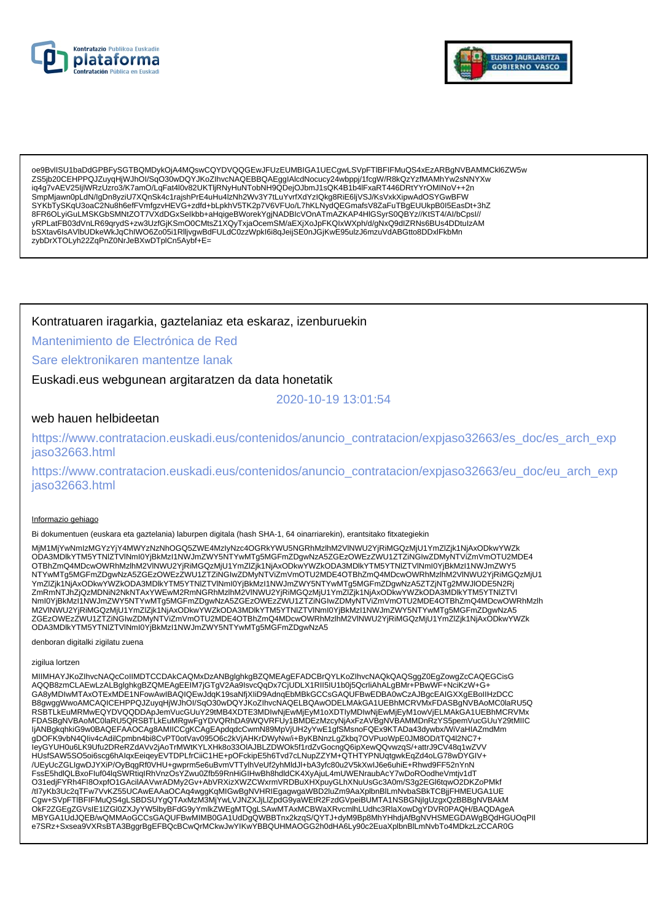



oe9BvlISU1baDdGPBFySGTBQMDykOjA4MQswCQYDVQQGEwJFUzEUMBIGA1UECgwLSVpFTIBFIFMuQS4xEzARBgNVBAMMCkl6ZW5w ZS5ib20CEHPPQJZuvqHjWJhOI/SqO30wDQYJKoZIhvcNAQEBBQAEqqIAlcdNocucy24wbppj/1fcqW/R8kQzYzfMAMhYw2sNNYXw iq4g7vAEV25ljlWRzUzro3/K7amO/LqFat4l0v82UKTljRNyHuNTobNH9QDejOJbmJ1sQK4B1b4lFxaRT446DRtYYrOMINoV++2n SmpMjawn0pLdN/lgDn8yziU7XQnSk4c1rajshPrE4uHu4IzNh2Wv3Y7tLuYvrfXdYzIQkg8RiE6ljVSJ/KsVxkXipwAdOSYGwBFW SYKbTySKqU3oaC2Nu8h6efFVmfgzvHEVG+zdfd+bLpkhV5TK2p7V6VFUo/L7hKLNydQEGmafsV8ZaFuTBgEUUkpB0I5EasDt+3hZ 8FR6OLyiGuLMSKGbSMNtZOT7VXdDGxSelkbb+aHqigeBWorekYgjNADBlcVOnATmAZKAP4HlGSyrS0QBYz//KtST4/Al/bCpsl// yRPLatFB03dVnLR69qrydS+zw3UzfGjKSmO0CMtsZ1XQyTxjaOcemSM/aEXjXoJpFKQIxWXph/d/gNxQ9dlZRNs6BUs4DDtuIzAM bSXtav6lsAVlbUDkeWkJqChIWO6Zo05i1RlljvgwBdFULdC0zzWpkl6i8qJeijSE0nJGjKwE95ulzJ6mzuVdABGtto8DDxlFkbMn zybDrXTOLyh22ZqPnZ0NrJeBXwDTplCn5Aybf+E=

### Kontratuaren iragarkia, gaztelaniaz eta eskaraz, izenburuekin

Mantenimiento de Electrónica de Red

### Sare elektronikaren mantentze lanak

Euskadi.eus webgunean argitaratzen da data honetatik

2020-10-19 13:01:54

### web hauen helbideetan

https://www.contratacion.euskadi.eus/contenidos/anuncio\_contratacion/expjaso32663/es\_doc/es\_arch\_exp jaso32663.html

https://www.contratacion.euskadi.eus/contenidos/anuncio\_contratacion/expjaso32663/eu\_doc/eu\_arch\_exp jaso32663.html

#### Informazio gehiago

Bi dokumentuen (euskara eta gaztelania) laburpen digitala (hash SHA-1, 64 oinarriarekin), erantsitako fitxategiekin

MjM1MjYwNmlzMGYzYjY4MWYzNzNhOGQ5ZWE4MzlyNzc4OGRkYWU5NGRhMzlhM2VlNWU2YjRiMGQzMjU1YmZlZjk1NjAxODkwYWZk YmZlZjk1NjAxODkwYWZkODA3MDlkYTM5YTNlZTVlNml0YjBkMzl1NWJmZWY5NTYwMTg5MGFmZDgwNzA5ZTZjNTg2MWJlODE5N2Rj ZmRmNTJhZjQzMDNiN2NkNTAxYWEwM2RmNGRhMzIhM2VINWU2YjRiMGQzMjU1YmZlZjk1NjAxODkwYWZkODA3MDlkYTM5YTNIZTVI Nml0YjBkMzI1NWJmZWY5NTYwMTg5MGFmZDgwNzA5ZGEzOWEzZWU1ZTZiNGIwZDMyNTViZmVmOTU2MDE4OTBhZmQ4MDcwOWRhMzlh M2VINWU2YjRiMGQzMjU1YmZlZjk1NjAxODkwYWZkODA3MDlkYTM5YTNlZTVlNml0YjBkMzl1NWJmZWY5NTYwMTg5MGFmZDgwNzA5 ZGEzOWEzZWU1ZTZiNGIwZDMyNTViZmVmOTU2MDE4OTBhZmQ4MDcwOWRhMzlhM2VINWU2YjRiMGQzMjU1YmZlZjk1NjAxODkwYWZk ODA3MDIkYTM5YTNIZTVINmI0YjBkMzI1NWJmZWY5NTYwMTg5MGFmZDgwNzA5

denboran digitalki zigilatu zuena

#### zigilua lortzen

MIIMHAYJKoZIhvcNAQcCoIIMDTCCDAkCAQMxDzANBqlqhkqBZQMEAqEFADCBrQYLKoZIhvcNAQkQAQSqqZ0EqZowqZcCAQEGCisG AQQB8zmCLAEwLzALBglghkgBZQMEAgEEIM7jGTgV2Ăa9IsvcQqDx7CjUDLX1RII5IU1b0j5QcrliAhALgBMr+PBwWF+NciKzW+G+ GA8yMDIwMTAxOTExMDE1NFowAwIBAQIQEwJdqK19saNfjXliD9AdnqEbMBkGCCsGAQUFBwEDBA0wCzAJBgcEAIGXXgEBoIIHzDCC B8gwggWwoAMCAQICEHPPQJZuyqHjWJhOI/SqO30wDQYJKoZIhvcNAQELBQAwODELMAkGA1UEBhMCRVMxFDASBgNVBAoMC0laRU5Q RSBTLKEuMRMwEQYDVQQDDApJemVucGUuY29tMB4XDTE3MDIwNjEwMjEyM1oXDTIyMDIwNjEwMjEyM1owVjELMAkGA1UEBhMCRVMx FDASBgNVBAoMC0laRU5QRSBTLkEuMRgwFgYDVQRhDA9WQVRFUy1BMDEzMzcyNjAxFzAVBgNVBAMMDnRzYS5pemVucGUuY29tMIIC IjANBgkqhkiG9w0BAQEFAAOCAg8AMIICCgKCAgEApdqdcCwmN89MpVjUH2yYwE1gfSMsnoFQEx9KTADa43dywbx/WiVaHIAZmdMm on on the state of the state of the state of the state of the state of the state of the state of the state of the state of the state of the state of the state of the state of the state of the state of the state of the st HUsfSAW5SO5oi6scg6hAlqxEeiqeyEVTDPLfrCiiC1HE+pOFckipE5h6Tvd7cLNupZZYM+QTHTYPNUqtgwkEqZd4oLG78wDYGIV+ /UEyUcZGLIgwDJYXiP/OyBqgRf0VHU+gwprm5e6uBvmVTTylhVeUf2yhMldJl+bA3yfc80u2V5kXwlJ6e6uhiE+Rhwd9FF52nYnN FssE5hdlQLBxoFluf04lqSWRtiqIRhVnzOsYZwu0Zfb59RnHiGIHwBh8hdldCK4XyAjuL4mUWENraubAcY7wDoROodheVmtjv1dT O31edjFYRh4Fl8OxpfO1GAcilAAVwrADMy2Gv+AbVRXizXWZCWxrmVRDBuXHXpuyGLhXNuUsGc3A0m/S3g2EGl6tqwO2DKZoPMkf /tl7yKb3Uc2qTFw7VvKZ55UCAwEAAaOCAq4wggKqMlGwBgNVHRlEgagwgaWBD2luZm9AaXplbnBlLmNvbaSBkTCBjjFHMEUGA1UE<br>Cgw+SVpFTIBFIFMuQS4gLSBDSUYgQTAxMzM3MjYwLVJNZXJjLlZpdG9yaWEtR2FzdGVpeiBUMTA1NSBGNjlgUzgxQzBBBgNVBAkM OKF2ZGEgZGVsIE1IZGI0ZXJyYW5lbyBFdG9yYmlkZWEgMTQgLSAwMTAxMCBWaXRvcmlhLUdhc3RlaXowDgYDVR0PAQH/BAQDAgeA<br>MBYGA1UdJQEB/wQMMAoGCCsGAQUFBwMIMB0GA1UdDgQWBBTnx2kzqS/QYTJ+dyM9Bp8MhYHhdjAfBgNVHSMEGDAWgBQdHGUOqPll e7SRz+Sxsea9VXRsBTA3BggrBgEFBQcBCwQrMCkwJwYlKwYBBQUHMAOGG2h0dHA6Ly90c2EuaXplbnBlLmNvbTo4MDkzLzCCAR0G